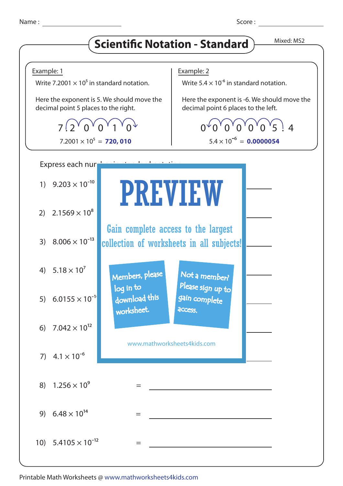## **Scientific Notation - Standard** Mixed: MS2



Printable Math Worksheets @ www.mathworksheets4kids.com